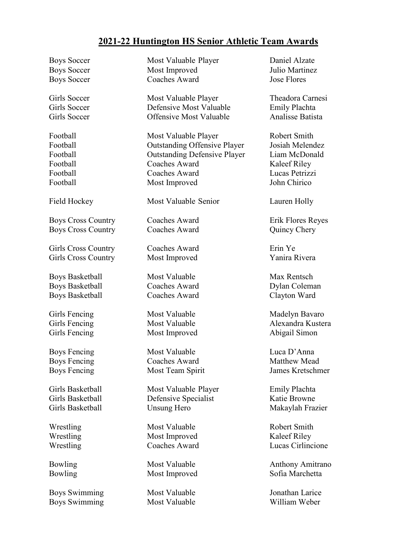## **2021-22 Huntington HS Senior Athletic Team Awards**

Boys Soccer Most Valuable Player Daniel Alzate Boys Soccer Most Improved Julio Martinez Boys Soccer Coaches Award Jose Flores Girls Soccer Most Valuable Player Theadora Carnesi Girls Soccer Defensive Most Valuable Emily Plachta Girls Soccer Offensive Most Valuable Analisse Batista Football Most Valuable Player Robert Smith Football Outstanding Offensive Player Josiah Melendez Football Outstanding Defensive Player Liam McDonald Football Coaches Award Kaleef Riley Football Coaches Award Lucas Petrizzi Football Most Improved John Chirico Field Hockey Most Valuable Senior Lauren Holly Boys Cross Country Coaches Award Erik Flores Reyes Boys Cross Country Coaches Award Quincy Chery Girls Cross Country Coaches Award Erin Ye Girls Cross Country Most Improved Yanira Rivera Boys Basketball Most Valuable Max Rentsch Boys Basketball Coaches Award Dylan Coleman Boys Basketball Coaches Award Clayton Ward Girls Fencing Most Valuable Madelyn Bavaro Girls Fencing Most Valuable Alexandra Kustera Girls Fencing Most Improved Abigail Simon Boys Fencing Most Valuable Luca D'Anna Boys Fencing Coaches Award Matthew Mead Boys Fencing Most Team Spirit James Kretschmer Girls Basketball Most Valuable Player Emily Plachta Girls Basketball **Defensive Specialist** Katie Browne Girls Basketball **Unsung Hero** Makaylah Frazier Wrestling Most Valuable Robert Smith Wrestling Most Improved Kaleef Riley Wrestling Coaches Award Lucas Cirlincione Bowling Most Valuable Anthony Amitrano Bowling Most Improved Sofia Marchetta Boys Swimming Most Valuable Jonathan Larice

Boys Swimming Most Valuable William Weber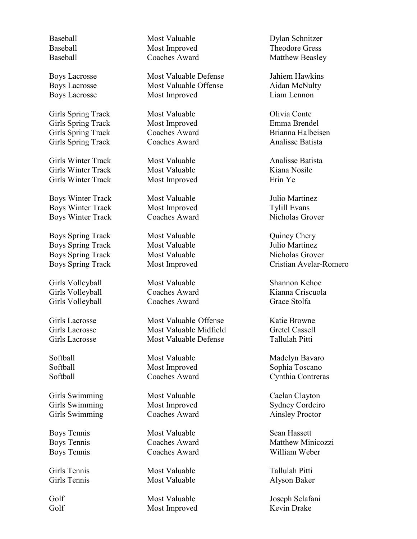Girls Spring Track Most Valuable **Most Olivia Conte** Girls Spring Track Most Improved Emma Brendel Girls Spring Track Coaches Award Brianna Halbeisen Girls Spring Track Coaches Award Analisse Batista

Girls Winter Track Most Valuable Analisse Batista Girls Winter Track Most Valuable Kiana Nosile Girls Winter Track Most Improved Erin Ye

Boys Winter Track Most Valuable Julio Martinez Boys Winter Track Most Improved Tylill Evans Boys Winter Track Coaches Award Nicholas Grover

Boys Spring Track Most Valuable Quincy Chery Boys Spring Track Most Valuable Julio Martinez Boys Spring Track Most Valuable Micholas Grover

Girls Volleyball Most Valuable Shannon Kehoe Girls Volleyball Coaches Award Grace Stolfa

Girls Swimming **Most Valuable** Caelan Clayton Girls Swimming Most Improved Sydney Cordeiro Girls Swimming Coaches Award Ainsley Proctor

Girls Tennis Most Valuable Tallulah Pitti

Baseball Most Valuable Dylan Schnitzer Baseball Most Improved Theodore Gress

Boys Lacrosse Most Valuable Defense Jahiem Hawkins Boys Lacrosse Most Valuable Offense Aidan McNulty Boys Lacrosse Most Improved Liam Lennon

Girls Lacrosse Most Valuable Offense Katie Browne Girls Lacrosse Most Valuable Midfield Gretel Cassell Girls Lacrosse Most Valuable Defense Tallulah Pitti

Boys Tennis **Most Valuable** Sean Hassett

Girls Tennis Most Valuable Alyson Baker

Golf Most Valuable Joseph Sclafani Golf Most Improved Kevin Drake

Baseball Coaches Award Matthew Beasley

Boys Spring Track Most Improved Cristian Avelar-Romero

Girls Volleyball Coaches Award Kianna Criscuola

Softball Most Valuable Madelyn Bavaro Softball Most Improved Sophia Toscano Softball Coaches Award Cynthia Contreras

Boys Tennis Coaches Award Matthew Minicozzi Boys Tennis Coaches Award William Weber